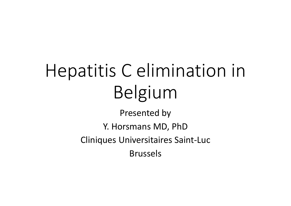# Hepatitis C elimination in Belgium

Presented by Y. Horsmans MD, PhD Cliniques Universitaires Saint‐Luc Brussels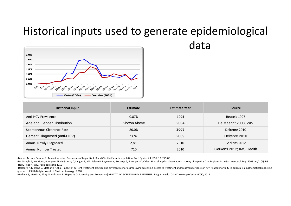### Historical inputs used to generate epidemiological data



| <b>Historical Input</b>      | <b>Estimate</b> | <b>Estimate Year</b> | <b>Source</b>            |
|------------------------------|-----------------|----------------------|--------------------------|
| Anti-HCV Prevalence          | 0.87%           | 1994                 | Beutels 1997             |
| Age and Gender Distribution  | Shown Above     | 2004                 | De Maeght 2008, WIV      |
| Spontaneous Clearance Rate   | 80.0%           | 2009                 | Deltenre 2010            |
| Percent Diagnosed (anti-HCV) | 58%             | 2009                 | Deltenre 2010            |
| Annual Newly Diagnosed       | 2,850           | 2010                 | Gerkens 2012             |
| <b>Annual Number Treated</b> | 710             | 2010                 | Gerkens 2012; IMS Health |

‐ Beutels M, Van Damme P, Aelvoet W, et al. Prevalence of hepatitis A, B and C in the Flemish population. Eur J Epidemiol 1997; 13: 275‐80.

- Deltenre P, Moreno C, Mathurin P,et al. Impact of current treatment practice and different scenarios improving screening, access to treatment and treatment efficacy on hcv-related mortality in belgium : a mathematical mo approach. XXIIth Belgian Week of Gastroenterology . 2010.

‐ Gerkens S, Martin N, Thiry N, Hulstaert F. [Hepatitis C: Screening and Prevention] HEPATITIS C: SCREENING EN PREVENTIE. Belgian Health Care Knowledge Center (KCE); 2012.

<sup>-</sup> De Maeght S, Henrion J, Bourgeois N, de Galocsy C, Langlet P, Michielsen P, Reynaert H, Robaeys G, Sprengers D, Orlent H, et al. A pilot observational survey of hepatitis C in Belgium. Acta Gastroenterol.Belg. 2008 Jan;7 ‐ HepC Report, WIV, Peillaboratoria 2010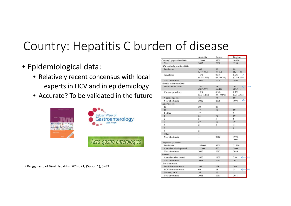# Country: Hepatitis C burden of disease

- Epidemiological data:
	- Relatively recent concensus with local experts in HCV and in epidemiology
	- Accurate? To be validated in the future



Country's population (000) 10 100 Year 2012 2008 1994 HCV antibody positive (000) **Total cases** 308 38 88  $(277 - 339)$  $(8 - 60)$  $(12-114)$ Prevalence 1.3% 0.5% 0.9%  $(1.2 - 1.5\%)$  $(0.1 - 0.7%)$  $(0.1 - 1.1\%)$ Year of estimate 2012 2008 1994 Viremic infections (000) Total viremic cases 230 28 70  $(6-44)$  $(10-91)$  $(207 - 253)$ Viremic prevalence 0.3% 1.0% 0.7%  $(0.9 - 1.1\%)$  $(0.1 - 0.5\%)$  $(0.1 - 0.9\%)$ Viremic rate (%) 74 75  $80\,$ Year of estimate 2012 2008 1994 ✓ Genotypes (%) 20 20 la  $1<sub>b</sub>$ 17 52 50 1 Other 17  $\overline{9}$  $\overline{\phantom{a}}$  $72$  $\overline{1}$ 55 59  $\overline{2}$  $\overline{5}$ 5 6  $\overline{\phantom{a}3}$ 37 19 19  $\overline{4}$  $\overline{2}$  $\sqrt{4}$  $14$  $5$  $\overline{2}$  $\overline{\phantom{a}}$ 6 2  $\sim$  $\sim$ Other  $\overline{\phantom{a}}$  $\overline{\phantom{a}}$  $\overline{a}$ Year of estimate 2012 1994. 2004 Diagnosed (viremic) **Total cases** 185 000 9700 22 900 Annual newly diagnosed 11 300 600 2900 Year of estimate 2010 2012 2010 Treated Annual number treated 1100 3900 710 Year of estimate 2011 2011 2011 Liver transplants Total liver transplants 194 128 299 **HCV** liver transplants 69 28 38 ∠ % due to HCV 36  $22$ 13 Year of estimate 2011 2011 2011

Australia

22 900

Austria

8300

Belgium

P Bruggman.J of Viral Hepatitis, 2014, 21, (Suppl. 1), 5–33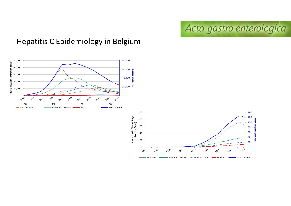Acta gastro-enterologica

#### Hepatitis C Epidemiology in Belgium



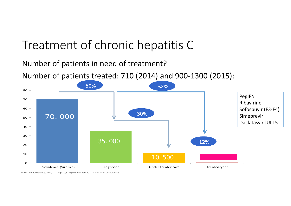## Treatment of chronic hepatitis C

#### Number of patients in need of treatment?

Number of patients treated: 710 (2014) and 900‐1300 (2015):



Journal of Viral Hepatitis, 2014, 21, (Suppl. 1), 5–33; IMS data April 2014; \* BASL letter to authorities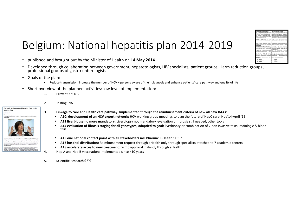### Belgium: National hepatitis plan 2014‐2019

- •published and brought out by the Minister of Health on **14 May 2014**
- •Developed through collaboration between government, hepatotologists, HIV specialists, patient groups, Harm reduction groups, professional groups of gastro-enterologists
- • Goals of the plan:
	- Reduce transmission, increase the number of HCV <sup>+</sup> persons aware of their diagnosis and enhance patients' care pathway and quality of life
- $\bullet$  Short overview of the planned activities: low level of implementation:
	- 1. Prevention: NA
	- 2. Testing: NA
	- 3. Linkage to care and Health care pathway: Implemented through the reimbursement criteria of new all new DAAs:
		- •**A10: development of an HCV expert network:** HCV working group meetings to plan the future of HepC care‐ Nov'14‐April '15
		- •**A12 liverbiopsy no more mandatory:** Liverbiopsy not mandatory, evaluation of fibrosis still needed, other tools
		- • **A14 evaluation of fibrosis staging for all genotypes, adaptied to goal:** liverbiopsy or combination of 2 non invasive tests: radiologic & blood test
		- •**A15 one national contact point with all stakeholders incl Pharma:** E‐Health? KCE?
		- •**A17 hospital distribution:** Reimbursement request through eHealth only through specialists attached to 7 academic centers
		- •**A18 accelerate acces to new treatment:** reimb approval instantly through eHealth
	- 4. Hep A and Hep B vaccination: Implemented since >10 years
	- 5. Scientific Research:????





Exclusif: le plan contre l'hépatite C est enfin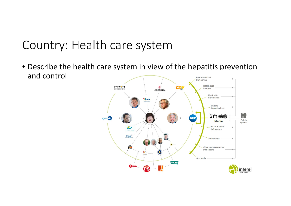### Country: Health care system

• Describe the health care system in view of the hepatitis prevention and controlPharmaceutical

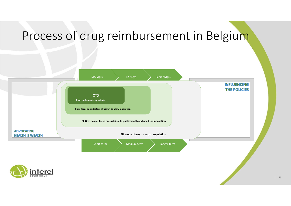### Process of drug reimbursement in Belgium



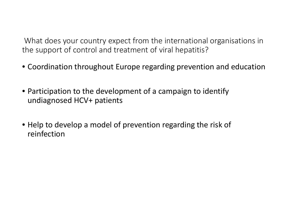What does your country expect from the international organisations in the support of control and treatment of viral hepatitis?

- Coordination throughout Europe regarding prevention and education
- Participation to the development of <sup>a</sup> campaign to identify undiagnosed HCV+ patients
- Help to develop <sup>a</sup> model of prevention regarding the risk of reinfection